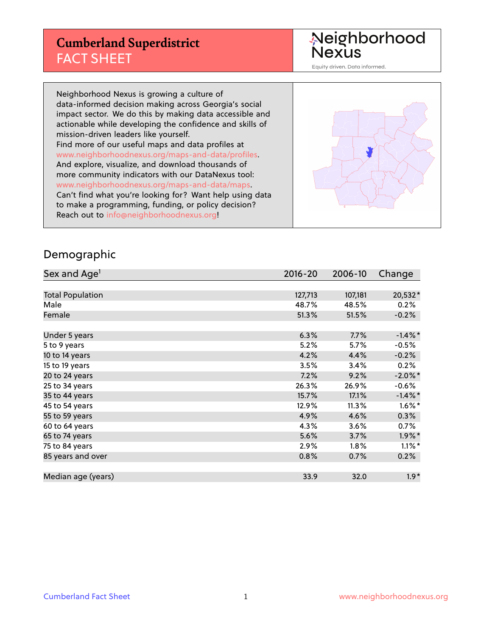# **Cumberland Superdistrict** FACT SHEET

Neighborhood<br>Nexus

Equity driven. Data informed.

Neighborhood Nexus is growing a culture of data-informed decision making across Georgia's social impact sector. We do this by making data accessible and actionable while developing the confidence and skills of mission-driven leaders like yourself. Find more of our useful maps and data profiles at www.neighborhoodnexus.org/maps-and-data/profiles. And explore, visualize, and download thousands of more community indicators with our DataNexus tool: www.neighborhoodnexus.org/maps-and-data/maps. Can't find what you're looking for? Want help using data to make a programming, funding, or policy decision? Reach out to [info@neighborhoodnexus.org!](mailto:info@neighborhoodnexus.org)



#### Demographic

| Sex and Age <sup>1</sup> | 2016-20 | 2006-10 | Change     |
|--------------------------|---------|---------|------------|
|                          |         |         |            |
| <b>Total Population</b>  | 127,713 | 107,181 | 20,532*    |
| Male                     | 48.7%   | 48.5%   | 0.2%       |
| Female                   | 51.3%   | 51.5%   | $-0.2%$    |
|                          |         |         |            |
| Under 5 years            | 6.3%    | 7.7%    | $-1.4\%$ * |
| 5 to 9 years             | 5.2%    | 5.7%    | $-0.5%$    |
| 10 to 14 years           | 4.2%    | 4.4%    | $-0.2%$    |
| 15 to 19 years           | 3.5%    | 3.4%    | 0.2%       |
| 20 to 24 years           | 7.2%    | 9.2%    | $-2.0\%$ * |
| 25 to 34 years           | 26.3%   | 26.9%   | $-0.6%$    |
| 35 to 44 years           | 15.7%   | 17.1%   | $-1.4\%$ * |
| 45 to 54 years           | 12.9%   | 11.3%   | $1.6\%$ *  |
| 55 to 59 years           | 4.9%    | 4.6%    | 0.3%       |
| 60 to 64 years           | 4.3%    | 3.6%    | $0.7\%$    |
| 65 to 74 years           | 5.6%    | 3.7%    | $1.9\%$ *  |
| 75 to 84 years           | 2.9%    | $1.8\%$ | $1.1\%$ *  |
| 85 years and over        | 0.8%    | 0.7%    | 0.2%       |
|                          |         |         |            |
| Median age (years)       | 33.9    | 32.0    | $1.9*$     |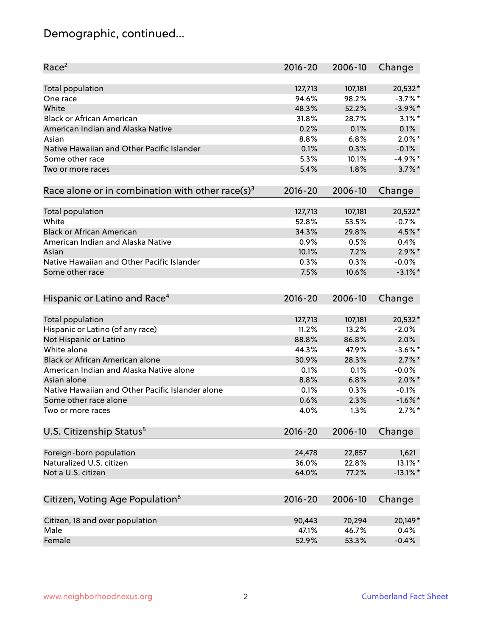# Demographic, continued...

| Race <sup>2</sup>                                            | $2016 - 20$ | 2006-10 | Change      |
|--------------------------------------------------------------|-------------|---------|-------------|
| <b>Total population</b>                                      | 127,713     | 107,181 | 20,532*     |
| One race                                                     | 94.6%       | 98.2%   | $-3.7%$ *   |
| White                                                        | 48.3%       | 52.2%   | $-3.9\%$ *  |
| <b>Black or African American</b>                             | 31.8%       | 28.7%   | $3.1\%$ *   |
| American Indian and Alaska Native                            | 0.2%        | 0.1%    | 0.1%        |
| Asian                                                        | 8.8%        | 6.8%    | $2.0\%$ *   |
| Native Hawaiian and Other Pacific Islander                   | 0.1%        | 0.3%    | $-0.1%$     |
| Some other race                                              | 5.3%        | 10.1%   | $-4.9%$ *   |
| Two or more races                                            | 5.4%        | 1.8%    | $3.7\%$ *   |
| Race alone or in combination with other race(s) <sup>3</sup> | $2016 - 20$ | 2006-10 | Change      |
|                                                              |             |         |             |
| Total population                                             | 127,713     | 107,181 | 20,532*     |
| White                                                        | 52.8%       | 53.5%   | $-0.7%$     |
| <b>Black or African American</b>                             | 34.3%       | 29.8%   | 4.5%*       |
| American Indian and Alaska Native                            | 0.9%        | 0.5%    | 0.4%        |
| Asian                                                        | 10.1%       | 7.2%    | $2.9\%$ *   |
| Native Hawaiian and Other Pacific Islander                   | 0.3%        | 0.3%    | $-0.0%$     |
| Some other race                                              | 7.5%        | 10.6%   | $-3.1\%$ *  |
| Hispanic or Latino and Race <sup>4</sup>                     | $2016 - 20$ | 2006-10 | Change      |
| <b>Total population</b>                                      | 127,713     | 107,181 | 20,532*     |
| Hispanic or Latino (of any race)                             | 11.2%       | 13.2%   | $-2.0%$     |
| Not Hispanic or Latino                                       | 88.8%       | 86.8%   | 2.0%        |
| White alone                                                  | 44.3%       | 47.9%   | $-3.6\%$ *  |
| <b>Black or African American alone</b>                       | 30.9%       | 28.3%   | $2.7\%$ *   |
| American Indian and Alaska Native alone                      | 0.1%        | 0.1%    | $-0.0%$     |
| Asian alone                                                  | 8.8%        | 6.8%    | $2.0\%$ *   |
| Native Hawaiian and Other Pacific Islander alone             | 0.1%        | 0.3%    | $-0.1%$     |
| Some other race alone                                        | 0.6%        | 2.3%    | $-1.6\%$ *  |
| Two or more races                                            | 4.0%        | 1.3%    | $2.7\%$ *   |
| U.S. Citizenship Status <sup>5</sup>                         | $2016 - 20$ | 2006-10 | Change      |
|                                                              |             |         |             |
| Foreign-born population                                      | 24,478      | 22,857  | 1,621       |
| Naturalized U.S. citizen                                     | 36.0%       | 22.8%   | 13.1%*      |
| Not a U.S. citizen                                           | 64.0%       | 77.2%   | $-13.1\%$ * |
| Citizen, Voting Age Population <sup>6</sup>                  | $2016 - 20$ | 2006-10 | Change      |
| Citizen, 18 and over population                              | 90,443      | 70,294  | 20,149*     |
| Male                                                         | 47.1%       | 46.7%   | 0.4%        |
| Female                                                       | 52.9%       | 53.3%   | $-0.4%$     |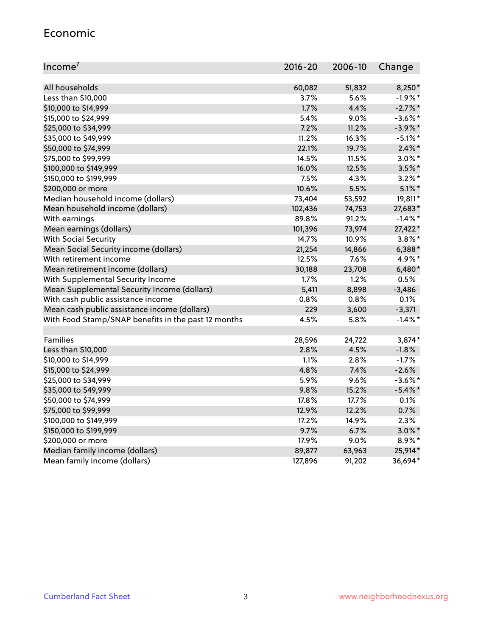#### Economic

| Income <sup>7</sup>                                 | 2016-20 | 2006-10 | Change     |
|-----------------------------------------------------|---------|---------|------------|
|                                                     |         |         |            |
| All households                                      | 60,082  | 51,832  | 8,250*     |
| Less than \$10,000                                  | 3.7%    | 5.6%    | $-1.9%$ *  |
| \$10,000 to \$14,999                                | 1.7%    | 4.4%    | $-2.7\%$ * |
| \$15,000 to \$24,999                                | 5.4%    | 9.0%    | $-3.6\%$ * |
| \$25,000 to \$34,999                                | 7.2%    | 11.2%   | $-3.9\%$ * |
| \$35,000 to \$49,999                                | 11.2%   | 16.3%   | $-5.1\%$ * |
| \$50,000 to \$74,999                                | 22.1%   | 19.7%   | $2.4\%$ *  |
| \$75,000 to \$99,999                                | 14.5%   | 11.5%   | $3.0\%$ *  |
| \$100,000 to \$149,999                              | 16.0%   | 12.5%   | $3.5\%$ *  |
| \$150,000 to \$199,999                              | 7.5%    | 4.3%    | $3.2\%$ *  |
| \$200,000 or more                                   | 10.6%   | 5.5%    | $5.1\%$ *  |
| Median household income (dollars)                   | 73,404  | 53,592  | 19,811*    |
| Mean household income (dollars)                     | 102,436 | 74,753  | 27,683*    |
| With earnings                                       | 89.8%   | 91.2%   | $-1.4\%$ * |
| Mean earnings (dollars)                             | 101,396 | 73,974  | 27,422*    |
| <b>With Social Security</b>                         | 14.7%   | 10.9%   | $3.8\%$ *  |
| Mean Social Security income (dollars)               | 21,254  | 14,866  | $6,388*$   |
| With retirement income                              | 12.5%   | 7.6%    | 4.9%*      |
| Mean retirement income (dollars)                    | 30,188  | 23,708  | $6,480*$   |
| With Supplemental Security Income                   | 1.7%    | 1.2%    | 0.5%       |
| Mean Supplemental Security Income (dollars)         | 5,411   | 8,898   | $-3,486$   |
| With cash public assistance income                  | 0.8%    | 0.8%    | 0.1%       |
| Mean cash public assistance income (dollars)        | 229     | 3,600   | $-3,371$   |
| With Food Stamp/SNAP benefits in the past 12 months | 4.5%    | 5.8%    | $-1.4\%$ * |
|                                                     |         |         |            |
| Families                                            | 28,596  | 24,722  | $3,874*$   |
| Less than \$10,000                                  | 2.8%    | 4.5%    | $-1.8%$    |
| \$10,000 to \$14,999                                | 1.1%    | 2.8%    | $-1.7%$    |
| \$15,000 to \$24,999                                | 4.8%    | 7.4%    | $-2.6%$    |
| \$25,000 to \$34,999                                | 5.9%    | 9.6%    | $-3.6\%$ * |
| \$35,000 to \$49,999                                | 9.8%    | 15.2%   | $-5.4\%$ * |
| \$50,000 to \$74,999                                | 17.8%   | 17.7%   | 0.1%       |
| \$75,000 to \$99,999                                | 12.9%   | 12.2%   | 0.7%       |
| \$100,000 to \$149,999                              | 17.2%   | 14.9%   | 2.3%       |
| \$150,000 to \$199,999                              | 9.7%    | 6.7%    | $3.0\%$ *  |
| \$200,000 or more                                   | 17.9%   | 9.0%    | 8.9%*      |
| Median family income (dollars)                      | 89,877  | 63,963  | 25,914*    |
| Mean family income (dollars)                        | 127,896 | 91,202  | 36,694*    |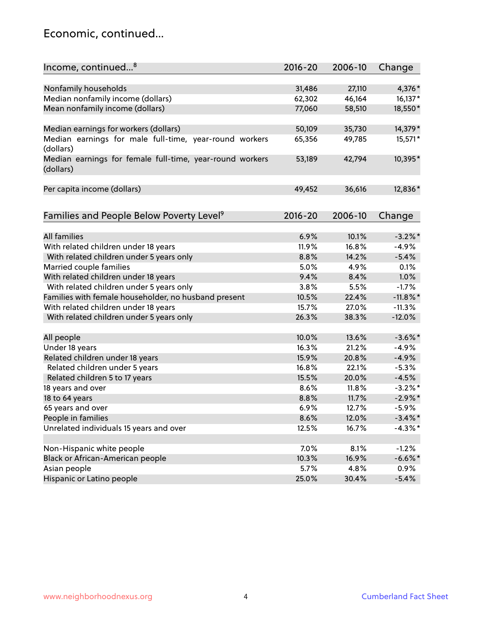### Economic, continued...

| Income, continued <sup>8</sup>                                        | $2016 - 20$ | 2006-10 | Change      |
|-----------------------------------------------------------------------|-------------|---------|-------------|
|                                                                       |             |         |             |
| Nonfamily households                                                  | 31,486      | 27,110  | 4,376*      |
| Median nonfamily income (dollars)                                     | 62,302      | 46,164  | 16,137*     |
| Mean nonfamily income (dollars)                                       | 77,060      | 58,510  | 18,550*     |
| Median earnings for workers (dollars)                                 | 50,109      | 35,730  | 14,379*     |
| Median earnings for male full-time, year-round workers                | 65,356      | 49,785  | 15,571*     |
| (dollars)                                                             |             |         |             |
| Median earnings for female full-time, year-round workers<br>(dollars) | 53,189      | 42,794  | 10,395*     |
| Per capita income (dollars)                                           | 49,452      | 36,616  | 12,836*     |
|                                                                       |             |         |             |
| Families and People Below Poverty Level <sup>9</sup>                  | 2016-20     | 2006-10 | Change      |
|                                                                       |             |         |             |
| All families                                                          | 6.9%        | 10.1%   | $-3.2\%$ *  |
| With related children under 18 years                                  | 11.9%       | 16.8%   | $-4.9%$     |
| With related children under 5 years only                              | 8.8%        | 14.2%   | $-5.4%$     |
| Married couple families                                               | 5.0%        | 4.9%    | 0.1%        |
| With related children under 18 years                                  | 9.4%        | 8.4%    | 1.0%        |
| With related children under 5 years only                              | 3.8%        | 5.5%    | $-1.7%$     |
| Families with female householder, no husband present                  | 10.5%       | 22.4%   | $-11.8\%$ * |
| With related children under 18 years                                  | 15.7%       | 27.0%   | $-11.3%$    |
| With related children under 5 years only                              | 26.3%       | 38.3%   | $-12.0%$    |
| All people                                                            | 10.0%       | 13.6%   | $-3.6\%$ *  |
| Under 18 years                                                        | 16.3%       | 21.2%   | $-4.9%$     |
| Related children under 18 years                                       | 15.9%       | 20.8%   | $-4.9%$     |
| Related children under 5 years                                        | 16.8%       | 22.1%   | $-5.3%$     |
| Related children 5 to 17 years                                        | 15.5%       | 20.0%   | $-4.5%$     |
|                                                                       | 8.6%        | 11.8%   | $-3.2%$ *   |
| 18 years and over                                                     |             |         | $-2.9%$ *   |
| 18 to 64 years                                                        | 8.8%        | 11.7%   |             |
| 65 years and over                                                     | 6.9%        | 12.7%   | $-5.9%$     |
| People in families                                                    | 8.6%        | 12.0%   | $-3.4\%$ *  |
| Unrelated individuals 15 years and over                               | 12.5%       | 16.7%   | $-4.3\%$ *  |
|                                                                       |             |         |             |
| Non-Hispanic white people                                             | 7.0%        | 8.1%    | $-1.2%$     |
| Black or African-American people                                      | 10.3%       | 16.9%   | $-6.6%$ *   |
| Asian people                                                          | 5.7%        | 4.8%    | 0.9%        |
| Hispanic or Latino people                                             | 25.0%       | 30.4%   | $-5.4%$     |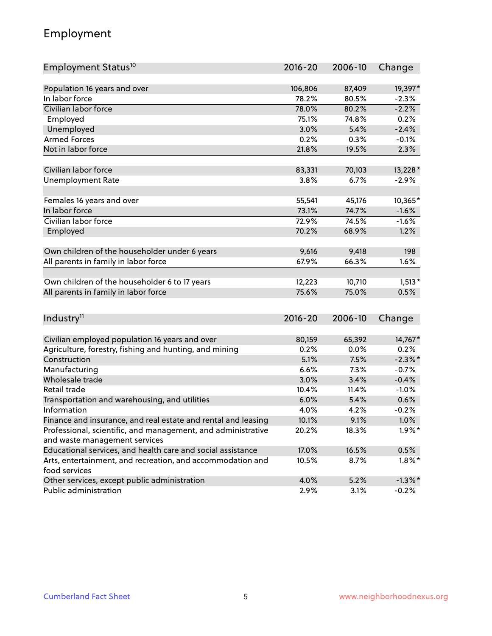# Employment

| Employment Status <sup>10</sup>                                             | $2016 - 20$ | 2006-10 | Change     |
|-----------------------------------------------------------------------------|-------------|---------|------------|
|                                                                             |             |         |            |
| Population 16 years and over                                                | 106,806     | 87,409  | 19,397*    |
| In labor force                                                              | 78.2%       | 80.5%   | $-2.3%$    |
| Civilian labor force                                                        | 78.0%       | 80.2%   | $-2.2%$    |
| Employed                                                                    | 75.1%       | 74.8%   | 0.2%       |
| Unemployed                                                                  | 3.0%        | 5.4%    | $-2.4%$    |
| <b>Armed Forces</b>                                                         | 0.2%        | 0.3%    | $-0.1%$    |
| Not in labor force                                                          | 21.8%       | 19.5%   | 2.3%       |
|                                                                             |             |         |            |
| Civilian labor force                                                        | 83,331      | 70,103  | 13,228*    |
| <b>Unemployment Rate</b>                                                    | 3.8%        | 6.7%    | $-2.9%$    |
| Females 16 years and over                                                   | 55,541      | 45,176  | $10,365*$  |
| In labor force                                                              | 73.1%       | 74.7%   | $-1.6%$    |
| Civilian labor force                                                        | 72.9%       | 74.5%   | $-1.6%$    |
| Employed                                                                    | 70.2%       | 68.9%   | 1.2%       |
|                                                                             |             |         |            |
| Own children of the householder under 6 years                               | 9,616       | 9,418   | 198        |
| All parents in family in labor force                                        | 67.9%       | 66.3%   | 1.6%       |
|                                                                             |             |         |            |
| Own children of the householder 6 to 17 years                               | 12,223      | 10,710  | $1,513*$   |
| All parents in family in labor force                                        | 75.6%       | 75.0%   | 0.5%       |
|                                                                             |             |         |            |
| Industry <sup>11</sup>                                                      | 2016-20     | 2006-10 | Change     |
|                                                                             |             |         |            |
| Civilian employed population 16 years and over                              | 80,159      | 65,392  | 14,767*    |
| Agriculture, forestry, fishing and hunting, and mining                      | 0.2%        | 0.0%    | 0.2%       |
| Construction                                                                | 5.1%        | 7.5%    | $-2.3\%$ * |
| Manufacturing                                                               | 6.6%        | 7.3%    | $-0.7%$    |
| Wholesale trade                                                             | 3.0%        | 3.4%    | $-0.4%$    |
| Retail trade                                                                | 10.4%       | 11.4%   | $-1.0%$    |
| Transportation and warehousing, and utilities                               | 6.0%        | 5.4%    | 0.6%       |
| Information                                                                 | 4.0%        | 4.2%    | $-0.2%$    |
| Finance and insurance, and real estate and rental and leasing               | 10.1%       | 9.1%    | $1.0\%$    |
| Professional, scientific, and management, and administrative                | 20.2%       | 18.3%   | $1.9\%$ *  |
| and waste management services                                               |             |         |            |
| Educational services, and health care and social assistance                 | 17.0%       | 16.5%   | 0.5%       |
| Arts, entertainment, and recreation, and accommodation and<br>food services | 10.5%       | 8.7%    | $1.8\%$ *  |
| Other services, except public administration                                | 4.0%        | 5.2%    | $-1.3\%$ * |
| Public administration                                                       | 2.9%        | 3.1%    | $-0.2%$    |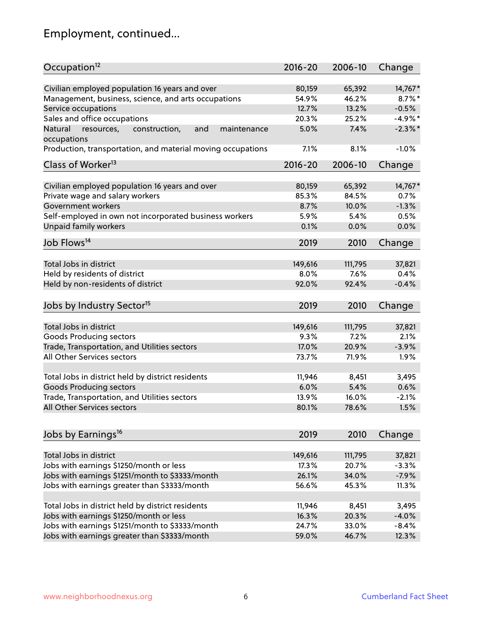# Employment, continued...

| Civilian employed population 16 years and over<br>80,159<br>65,392<br>$14,767*$<br>Management, business, science, and arts occupations<br>46.2%<br>$8.7\%$ *<br>54.9%<br>13.2%<br>Service occupations<br>12.7%<br>$-0.5%$<br>Sales and office occupations<br>$-4.9%$ *<br>20.3%<br>25.2%<br>7.4%<br>$-2.3\%$ *<br>Natural<br>and<br>5.0%<br>resources,<br>construction,<br>maintenance<br>7.1%<br>8.1%<br>$-1.0%$<br>$2016 - 20$<br>2006-10<br>Change<br>Civilian employed population 16 years and over<br>14,767*<br>80,159<br>65,392<br>Private wage and salary workers<br>85.3%<br>84.5%<br>0.7%<br>$-1.3%$<br>Government workers<br>8.7%<br>10.0%<br>Self-employed in own not incorporated business workers<br>5.9%<br>0.5%<br>5.4%<br>Unpaid family workers<br>0.0%<br>0.1%<br>0.0%<br>2019<br>2010<br>Change<br>Total Jobs in district<br>149,616<br>111,795<br>37,821<br>Held by residents of district<br>8.0%<br>7.6%<br>0.4%<br>$-0.4%$<br>92.0%<br>92.4%<br>2019<br>2010<br>Change<br>Total Jobs in district<br>149,616<br>111,795<br>37,821<br>Goods Producing sectors<br>9.3%<br>7.2%<br>2.1%<br>$-3.9%$<br>Trade, Transportation, and Utilities sectors<br>17.0%<br>20.9%<br>All Other Services sectors<br>73.7%<br>71.9%<br>1.9%<br>Total Jobs in district held by district residents<br>11,946<br>8,451<br>3,495<br><b>Goods Producing sectors</b><br>6.0%<br>5.4%<br>0.6%<br>Trade, Transportation, and Utilities sectors<br>13.9%<br>16.0%<br>$-2.1%$<br>All Other Services sectors<br>80.1%<br>78.6%<br>1.5%<br>2019<br>2010<br>Change<br>Total Jobs in district<br>149,616<br>111,795<br>37,821<br>Jobs with earnings \$1250/month or less<br>17.3%<br>20.7%<br>$-3.3%$<br>Jobs with earnings \$1251/month to \$3333/month<br>26.1%<br>34.0%<br>$-7.9%$ | Occupation <sup>12</sup>                                    | $2016 - 20$ | 2006-10 | Change |
|----------------------------------------------------------------------------------------------------------------------------------------------------------------------------------------------------------------------------------------------------------------------------------------------------------------------------------------------------------------------------------------------------------------------------------------------------------------------------------------------------------------------------------------------------------------------------------------------------------------------------------------------------------------------------------------------------------------------------------------------------------------------------------------------------------------------------------------------------------------------------------------------------------------------------------------------------------------------------------------------------------------------------------------------------------------------------------------------------------------------------------------------------------------------------------------------------------------------------------------------------------------------------------------------------------------------------------------------------------------------------------------------------------------------------------------------------------------------------------------------------------------------------------------------------------------------------------------------------------------------------------------------------------------------------------------------------------------------------------------------------------------------------|-------------------------------------------------------------|-------------|---------|--------|
|                                                                                                                                                                                                                                                                                                                                                                                                                                                                                                                                                                                                                                                                                                                                                                                                                                                                                                                                                                                                                                                                                                                                                                                                                                                                                                                                                                                                                                                                                                                                                                                                                                                                                                                                                                            |                                                             |             |         |        |
|                                                                                                                                                                                                                                                                                                                                                                                                                                                                                                                                                                                                                                                                                                                                                                                                                                                                                                                                                                                                                                                                                                                                                                                                                                                                                                                                                                                                                                                                                                                                                                                                                                                                                                                                                                            |                                                             |             |         |        |
|                                                                                                                                                                                                                                                                                                                                                                                                                                                                                                                                                                                                                                                                                                                                                                                                                                                                                                                                                                                                                                                                                                                                                                                                                                                                                                                                                                                                                                                                                                                                                                                                                                                                                                                                                                            |                                                             |             |         |        |
|                                                                                                                                                                                                                                                                                                                                                                                                                                                                                                                                                                                                                                                                                                                                                                                                                                                                                                                                                                                                                                                                                                                                                                                                                                                                                                                                                                                                                                                                                                                                                                                                                                                                                                                                                                            |                                                             |             |         |        |
|                                                                                                                                                                                                                                                                                                                                                                                                                                                                                                                                                                                                                                                                                                                                                                                                                                                                                                                                                                                                                                                                                                                                                                                                                                                                                                                                                                                                                                                                                                                                                                                                                                                                                                                                                                            |                                                             |             |         |        |
|                                                                                                                                                                                                                                                                                                                                                                                                                                                                                                                                                                                                                                                                                                                                                                                                                                                                                                                                                                                                                                                                                                                                                                                                                                                                                                                                                                                                                                                                                                                                                                                                                                                                                                                                                                            | occupations                                                 |             |         |        |
|                                                                                                                                                                                                                                                                                                                                                                                                                                                                                                                                                                                                                                                                                                                                                                                                                                                                                                                                                                                                                                                                                                                                                                                                                                                                                                                                                                                                                                                                                                                                                                                                                                                                                                                                                                            | Production, transportation, and material moving occupations |             |         |        |
|                                                                                                                                                                                                                                                                                                                                                                                                                                                                                                                                                                                                                                                                                                                                                                                                                                                                                                                                                                                                                                                                                                                                                                                                                                                                                                                                                                                                                                                                                                                                                                                                                                                                                                                                                                            | Class of Worker <sup>13</sup>                               |             |         |        |
|                                                                                                                                                                                                                                                                                                                                                                                                                                                                                                                                                                                                                                                                                                                                                                                                                                                                                                                                                                                                                                                                                                                                                                                                                                                                                                                                                                                                                                                                                                                                                                                                                                                                                                                                                                            |                                                             |             |         |        |
|                                                                                                                                                                                                                                                                                                                                                                                                                                                                                                                                                                                                                                                                                                                                                                                                                                                                                                                                                                                                                                                                                                                                                                                                                                                                                                                                                                                                                                                                                                                                                                                                                                                                                                                                                                            |                                                             |             |         |        |
|                                                                                                                                                                                                                                                                                                                                                                                                                                                                                                                                                                                                                                                                                                                                                                                                                                                                                                                                                                                                                                                                                                                                                                                                                                                                                                                                                                                                                                                                                                                                                                                                                                                                                                                                                                            |                                                             |             |         |        |
|                                                                                                                                                                                                                                                                                                                                                                                                                                                                                                                                                                                                                                                                                                                                                                                                                                                                                                                                                                                                                                                                                                                                                                                                                                                                                                                                                                                                                                                                                                                                                                                                                                                                                                                                                                            |                                                             |             |         |        |
|                                                                                                                                                                                                                                                                                                                                                                                                                                                                                                                                                                                                                                                                                                                                                                                                                                                                                                                                                                                                                                                                                                                                                                                                                                                                                                                                                                                                                                                                                                                                                                                                                                                                                                                                                                            |                                                             |             |         |        |
|                                                                                                                                                                                                                                                                                                                                                                                                                                                                                                                                                                                                                                                                                                                                                                                                                                                                                                                                                                                                                                                                                                                                                                                                                                                                                                                                                                                                                                                                                                                                                                                                                                                                                                                                                                            |                                                             |             |         |        |
|                                                                                                                                                                                                                                                                                                                                                                                                                                                                                                                                                                                                                                                                                                                                                                                                                                                                                                                                                                                                                                                                                                                                                                                                                                                                                                                                                                                                                                                                                                                                                                                                                                                                                                                                                                            | Job Flows <sup>14</sup>                                     |             |         |        |
|                                                                                                                                                                                                                                                                                                                                                                                                                                                                                                                                                                                                                                                                                                                                                                                                                                                                                                                                                                                                                                                                                                                                                                                                                                                                                                                                                                                                                                                                                                                                                                                                                                                                                                                                                                            |                                                             |             |         |        |
|                                                                                                                                                                                                                                                                                                                                                                                                                                                                                                                                                                                                                                                                                                                                                                                                                                                                                                                                                                                                                                                                                                                                                                                                                                                                                                                                                                                                                                                                                                                                                                                                                                                                                                                                                                            |                                                             |             |         |        |
|                                                                                                                                                                                                                                                                                                                                                                                                                                                                                                                                                                                                                                                                                                                                                                                                                                                                                                                                                                                                                                                                                                                                                                                                                                                                                                                                                                                                                                                                                                                                                                                                                                                                                                                                                                            |                                                             |             |         |        |
|                                                                                                                                                                                                                                                                                                                                                                                                                                                                                                                                                                                                                                                                                                                                                                                                                                                                                                                                                                                                                                                                                                                                                                                                                                                                                                                                                                                                                                                                                                                                                                                                                                                                                                                                                                            | Held by non-residents of district                           |             |         |        |
|                                                                                                                                                                                                                                                                                                                                                                                                                                                                                                                                                                                                                                                                                                                                                                                                                                                                                                                                                                                                                                                                                                                                                                                                                                                                                                                                                                                                                                                                                                                                                                                                                                                                                                                                                                            | Jobs by Industry Sector <sup>15</sup>                       |             |         |        |
|                                                                                                                                                                                                                                                                                                                                                                                                                                                                                                                                                                                                                                                                                                                                                                                                                                                                                                                                                                                                                                                                                                                                                                                                                                                                                                                                                                                                                                                                                                                                                                                                                                                                                                                                                                            |                                                             |             |         |        |
|                                                                                                                                                                                                                                                                                                                                                                                                                                                                                                                                                                                                                                                                                                                                                                                                                                                                                                                                                                                                                                                                                                                                                                                                                                                                                                                                                                                                                                                                                                                                                                                                                                                                                                                                                                            |                                                             |             |         |        |
|                                                                                                                                                                                                                                                                                                                                                                                                                                                                                                                                                                                                                                                                                                                                                                                                                                                                                                                                                                                                                                                                                                                                                                                                                                                                                                                                                                                                                                                                                                                                                                                                                                                                                                                                                                            |                                                             |             |         |        |
|                                                                                                                                                                                                                                                                                                                                                                                                                                                                                                                                                                                                                                                                                                                                                                                                                                                                                                                                                                                                                                                                                                                                                                                                                                                                                                                                                                                                                                                                                                                                                                                                                                                                                                                                                                            |                                                             |             |         |        |
|                                                                                                                                                                                                                                                                                                                                                                                                                                                                                                                                                                                                                                                                                                                                                                                                                                                                                                                                                                                                                                                                                                                                                                                                                                                                                                                                                                                                                                                                                                                                                                                                                                                                                                                                                                            |                                                             |             |         |        |
|                                                                                                                                                                                                                                                                                                                                                                                                                                                                                                                                                                                                                                                                                                                                                                                                                                                                                                                                                                                                                                                                                                                                                                                                                                                                                                                                                                                                                                                                                                                                                                                                                                                                                                                                                                            |                                                             |             |         |        |
|                                                                                                                                                                                                                                                                                                                                                                                                                                                                                                                                                                                                                                                                                                                                                                                                                                                                                                                                                                                                                                                                                                                                                                                                                                                                                                                                                                                                                                                                                                                                                                                                                                                                                                                                                                            |                                                             |             |         |        |
|                                                                                                                                                                                                                                                                                                                                                                                                                                                                                                                                                                                                                                                                                                                                                                                                                                                                                                                                                                                                                                                                                                                                                                                                                                                                                                                                                                                                                                                                                                                                                                                                                                                                                                                                                                            |                                                             |             |         |        |
|                                                                                                                                                                                                                                                                                                                                                                                                                                                                                                                                                                                                                                                                                                                                                                                                                                                                                                                                                                                                                                                                                                                                                                                                                                                                                                                                                                                                                                                                                                                                                                                                                                                                                                                                                                            |                                                             |             |         |        |
|                                                                                                                                                                                                                                                                                                                                                                                                                                                                                                                                                                                                                                                                                                                                                                                                                                                                                                                                                                                                                                                                                                                                                                                                                                                                                                                                                                                                                                                                                                                                                                                                                                                                                                                                                                            |                                                             |             |         |        |
|                                                                                                                                                                                                                                                                                                                                                                                                                                                                                                                                                                                                                                                                                                                                                                                                                                                                                                                                                                                                                                                                                                                                                                                                                                                                                                                                                                                                                                                                                                                                                                                                                                                                                                                                                                            | Jobs by Earnings <sup>16</sup>                              |             |         |        |
|                                                                                                                                                                                                                                                                                                                                                                                                                                                                                                                                                                                                                                                                                                                                                                                                                                                                                                                                                                                                                                                                                                                                                                                                                                                                                                                                                                                                                                                                                                                                                                                                                                                                                                                                                                            |                                                             |             |         |        |
|                                                                                                                                                                                                                                                                                                                                                                                                                                                                                                                                                                                                                                                                                                                                                                                                                                                                                                                                                                                                                                                                                                                                                                                                                                                                                                                                                                                                                                                                                                                                                                                                                                                                                                                                                                            |                                                             |             |         |        |
|                                                                                                                                                                                                                                                                                                                                                                                                                                                                                                                                                                                                                                                                                                                                                                                                                                                                                                                                                                                                                                                                                                                                                                                                                                                                                                                                                                                                                                                                                                                                                                                                                                                                                                                                                                            |                                                             |             |         |        |
|                                                                                                                                                                                                                                                                                                                                                                                                                                                                                                                                                                                                                                                                                                                                                                                                                                                                                                                                                                                                                                                                                                                                                                                                                                                                                                                                                                                                                                                                                                                                                                                                                                                                                                                                                                            |                                                             |             |         |        |
| 56.6%<br>11.3%<br>45.3%                                                                                                                                                                                                                                                                                                                                                                                                                                                                                                                                                                                                                                                                                                                                                                                                                                                                                                                                                                                                                                                                                                                                                                                                                                                                                                                                                                                                                                                                                                                                                                                                                                                                                                                                                    | Jobs with earnings greater than \$3333/month                |             |         |        |
| 11,946<br>8,451<br>3,495                                                                                                                                                                                                                                                                                                                                                                                                                                                                                                                                                                                                                                                                                                                                                                                                                                                                                                                                                                                                                                                                                                                                                                                                                                                                                                                                                                                                                                                                                                                                                                                                                                                                                                                                                   | Total Jobs in district held by district residents           |             |         |        |
| 16.3%<br>20.3%<br>$-4.0%$                                                                                                                                                                                                                                                                                                                                                                                                                                                                                                                                                                                                                                                                                                                                                                                                                                                                                                                                                                                                                                                                                                                                                                                                                                                                                                                                                                                                                                                                                                                                                                                                                                                                                                                                                  | Jobs with earnings \$1250/month or less                     |             |         |        |
| 24.7%<br>33.0%<br>$-8.4%$                                                                                                                                                                                                                                                                                                                                                                                                                                                                                                                                                                                                                                                                                                                                                                                                                                                                                                                                                                                                                                                                                                                                                                                                                                                                                                                                                                                                                                                                                                                                                                                                                                                                                                                                                  | Jobs with earnings \$1251/month to \$3333/month             |             |         |        |
| 59.0%<br>12.3%<br>46.7%                                                                                                                                                                                                                                                                                                                                                                                                                                                                                                                                                                                                                                                                                                                                                                                                                                                                                                                                                                                                                                                                                                                                                                                                                                                                                                                                                                                                                                                                                                                                                                                                                                                                                                                                                    | Jobs with earnings greater than \$3333/month                |             |         |        |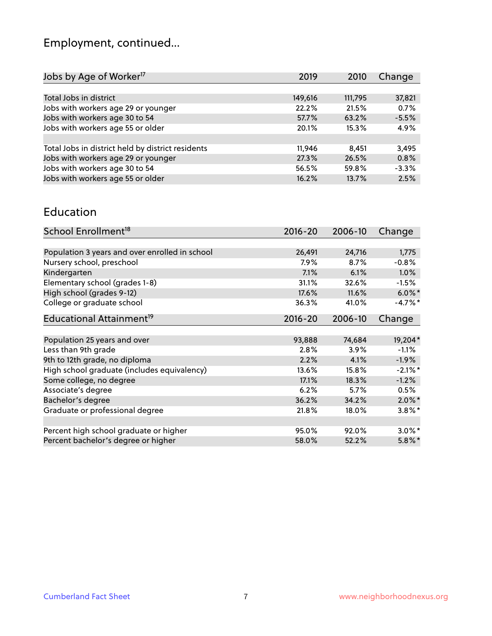# Employment, continued...

| Change<br>2019<br>2010                                                        |
|-------------------------------------------------------------------------------|
|                                                                               |
| 149,616<br>111,795<br>37,821                                                  |
| Jobs with workers age 29 or younger<br>0.7%<br>22.2%<br>21.5%                 |
| $-5.5%$<br>63.2%<br>57.7%                                                     |
| Jobs with workers age 55 or older<br>4.9%<br>20.1%<br>15.3%                   |
|                                                                               |
| Total Jobs in district held by district residents<br>11,946<br>3,495<br>8.451 |
| Jobs with workers age 29 or younger<br>27.3%<br>0.8%<br>26.5%                 |
| $-3.3%$<br>59.8%<br>56.5%                                                     |
| Jobs with workers age 55 or older<br>2.5%<br>13.7%<br>16.2%                   |
|                                                                               |

#### Education

| School Enrollment <sup>18</sup>                | $2016 - 20$ | 2006-10 | Change     |
|------------------------------------------------|-------------|---------|------------|
|                                                |             |         |            |
| Population 3 years and over enrolled in school | 26,491      | 24,716  | 1,775      |
| Nursery school, preschool                      | $7.9\%$     | 8.7%    | $-0.8%$    |
| Kindergarten                                   | 7.1%        | 6.1%    | 1.0%       |
| Elementary school (grades 1-8)                 | 31.1%       | 32.6%   | $-1.5%$    |
| High school (grades 9-12)                      | 17.6%       | 11.6%   | $6.0\%$ *  |
| College or graduate school                     | 36.3%       | 41.0%   | $-4.7%$ *  |
| Educational Attainment <sup>19</sup>           | $2016 - 20$ | 2006-10 | Change     |
|                                                |             |         |            |
| Population 25 years and over                   | 93,888      | 74,684  | 19,204*    |
| Less than 9th grade                            | 2.8%        | 3.9%    | $-1.1%$    |
| 9th to 12th grade, no diploma                  | 2.2%        | 4.1%    | $-1.9%$    |
| High school graduate (includes equivalency)    | 13.6%       | 15.8%   | $-2.1\%$ * |
| Some college, no degree                        | 17.1%       | 18.3%   | $-1.2%$    |
| Associate's degree                             | 6.2%        | 5.7%    | 0.5%       |
| Bachelor's degree                              | 36.2%       | 34.2%   | $2.0\%$ *  |
| Graduate or professional degree                | 21.8%       | 18.0%   | $3.8\%$ *  |
|                                                |             |         |            |
| Percent high school graduate or higher         | 95.0%       | 92.0%   | $3.0\%$ *  |
| Percent bachelor's degree or higher            | 58.0%       | 52.2%   | $5.8\%$ *  |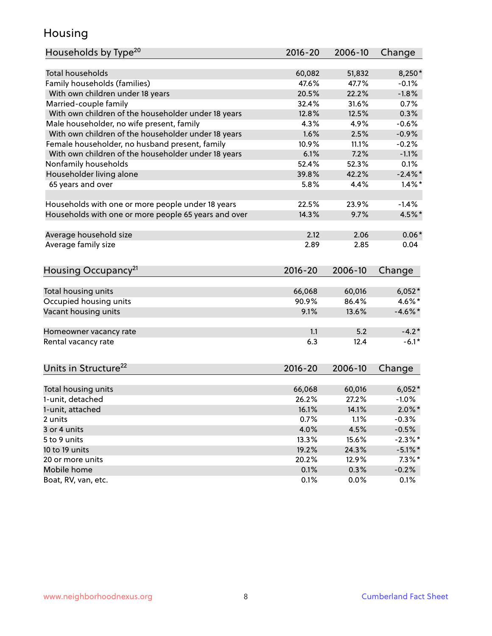### Housing

| Households by Type <sup>20</sup>                     | 2016-20     | 2006-10 | Change     |
|------------------------------------------------------|-------------|---------|------------|
|                                                      |             |         |            |
| <b>Total households</b>                              | 60,082      | 51,832  | 8,250*     |
| Family households (families)                         | 47.6%       | 47.7%   | $-0.1%$    |
| With own children under 18 years                     | 20.5%       | 22.2%   | $-1.8%$    |
| Married-couple family                                | 32.4%       | 31.6%   | 0.7%       |
| With own children of the householder under 18 years  | 12.8%       | 12.5%   | 0.3%       |
| Male householder, no wife present, family            | 4.3%        | 4.9%    | $-0.6%$    |
| With own children of the householder under 18 years  | 1.6%        | 2.5%    | $-0.9%$    |
| Female householder, no husband present, family       | 10.9%       | 11.1%   | $-0.2%$    |
| With own children of the householder under 18 years  | 6.1%        | 7.2%    | $-1.1%$    |
| Nonfamily households                                 | 52.4%       | 52.3%   | 0.1%       |
| Householder living alone                             | 39.8%       | 42.2%   | $-2.4\%$   |
| 65 years and over                                    | 5.8%        | 4.4%    | $1.4\%$ *  |
|                                                      |             |         |            |
| Households with one or more people under 18 years    | 22.5%       | 23.9%   | $-1.4%$    |
| Households with one or more people 65 years and over | 14.3%       | 9.7%    | 4.5%*      |
|                                                      |             |         |            |
| Average household size                               | 2.12        | 2.06    | $0.06*$    |
| Average family size                                  | 2.89        | 2.85    | 0.04       |
| Housing Occupancy <sup>21</sup>                      | 2016-20     | 2006-10 | Change     |
|                                                      |             |         |            |
| Total housing units                                  | 66,068      | 60,016  | $6,052*$   |
| Occupied housing units                               | 90.9%       | 86.4%   | 4.6%*      |
| Vacant housing units                                 | 9.1%        | 13.6%   | $-4.6\%$ * |
|                                                      |             |         |            |
| Homeowner vacancy rate                               | 1.1         | 5.2     | $-4.2*$    |
| Rental vacancy rate                                  | 6.3         | 12.4    | $-6.1*$    |
|                                                      |             |         |            |
| Units in Structure <sup>22</sup>                     | $2016 - 20$ | 2006-10 | Change     |
| Total housing units                                  | 66,068      | 60,016  | $6,052*$   |
| 1-unit, detached                                     | 26.2%       | 27.2%   | $-1.0%$    |
| 1-unit, attached                                     | 16.1%       | 14.1%   | $2.0\%$ *  |
| 2 units                                              | 0.7%        | 1.1%    | $-0.3%$    |
| 3 or 4 units                                         | 4.0%        | 4.5%    | $-0.5%$    |
| 5 to 9 units                                         | 13.3%       | 15.6%   | $-2.3\%$ * |
| 10 to 19 units                                       |             |         |            |
|                                                      | 19.2%       | 24.3%   | $-5.1\%$ * |
| 20 or more units                                     | 20.2%       | 12.9%   | $7.3\%$ *  |
| Mobile home                                          | 0.1%        | 0.3%    | $-0.2%$    |
| Boat, RV, van, etc.                                  | 0.1%        | 0.0%    | 0.1%       |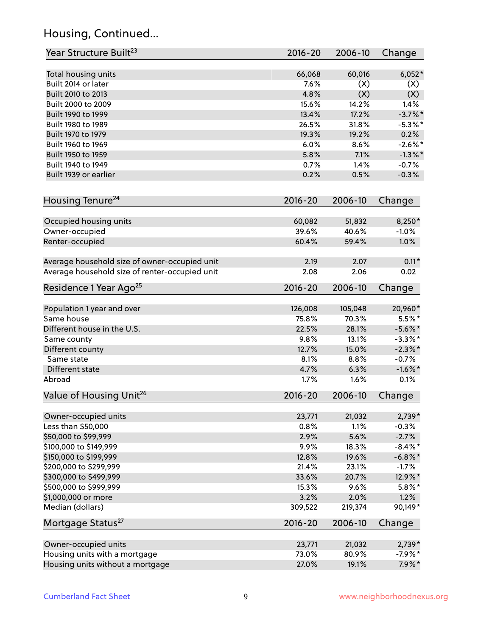# Housing, Continued...

| Year Structure Built <sup>23</sup>             | 2016-20     | 2006-10 | Change     |
|------------------------------------------------|-------------|---------|------------|
| Total housing units                            | 66,068      | 60,016  | $6,052*$   |
| Built 2014 or later                            | 7.6%        | (X)     | (X)        |
| Built 2010 to 2013                             | 4.8%        | (X)     | (X)        |
| Built 2000 to 2009                             | 15.6%       | 14.2%   | 1.4%       |
| Built 1990 to 1999                             | 13.4%       | 17.2%   | $-3.7\%$ * |
| Built 1980 to 1989                             | 26.5%       | 31.8%   | $-5.3\%$ * |
| Built 1970 to 1979                             | 19.3%       | 19.2%   | 0.2%       |
| Built 1960 to 1969                             | 6.0%        | 8.6%    | $-2.6\%$ * |
| Built 1950 to 1959                             | 5.8%        | 7.1%    | $-1.3\%$ * |
| Built 1940 to 1949                             | 0.7%        | 1.4%    | $-0.7%$    |
| Built 1939 or earlier                          | 0.2%        | 0.5%    | $-0.3%$    |
| Housing Tenure <sup>24</sup>                   | $2016 - 20$ | 2006-10 | Change     |
|                                                |             |         |            |
| Occupied housing units                         | 60,082      | 51,832  | 8,250*     |
| Owner-occupied                                 | 39.6%       | 40.6%   | $-1.0%$    |
| Renter-occupied                                | 60.4%       | 59.4%   | 1.0%       |
| Average household size of owner-occupied unit  | 2.19        | 2.07    | $0.11*$    |
| Average household size of renter-occupied unit | 2.08        | 2.06    | 0.02       |
| Residence 1 Year Ago <sup>25</sup>             | 2016-20     | 2006-10 | Change     |
|                                                |             |         |            |
| Population 1 year and over                     | 126,008     | 105,048 | 20,960*    |
| Same house                                     | 75.8%       | 70.3%   | $5.5%$ *   |
| Different house in the U.S.                    | 22.5%       | 28.1%   | $-5.6\%$ * |
| Same county                                    | 9.8%        | 13.1%   | $-3.3\%$ * |
| Different county                               | 12.7%       | 15.0%   | $-2.3\%$ * |
| Same state                                     | 8.1%        | 8.8%    | $-0.7%$    |
| Different state                                | 4.7%        | 6.3%    | $-1.6\%$ * |
| Abroad                                         | 1.7%        | 1.6%    | 0.1%       |
| Value of Housing Unit <sup>26</sup>            | $2016 - 20$ | 2006-10 | Change     |
| Owner-occupied units                           | 23,771      | 21,032  | $2,739*$   |
| Less than \$50,000                             | 0.8%        | 1.1%    | $-0.3%$    |
| \$50,000 to \$99,999                           | 2.9%        | 5.6%    | $-2.7%$    |
| \$100,000 to \$149,999                         | 9.9%        | 18.3%   | $-8.4\%$ * |
| \$150,000 to \$199,999                         | 12.8%       | 19.6%   | $-6.8\%$ * |
| \$200,000 to \$299,999                         | 21.4%       | 23.1%   | $-1.7%$    |
| \$300,000 to \$499,999                         | 33.6%       | 20.7%   | 12.9%*     |
| \$500,000 to \$999,999                         | 15.3%       | 9.6%    | $5.8\%$ *  |
| \$1,000,000 or more                            | 3.2%        | 2.0%    | 1.2%       |
| Median (dollars)                               | 309,522     | 219,374 | 90,149*    |
| Mortgage Status <sup>27</sup>                  | 2016-20     | 2006-10 | Change     |
| Owner-occupied units                           | 23,771      | 21,032  | $2,739*$   |
| Housing units with a mortgage                  | 73.0%       | 80.9%   | $-7.9%$ *  |
| Housing units without a mortgage               | 27.0%       | 19.1%   | $7.9\%*$   |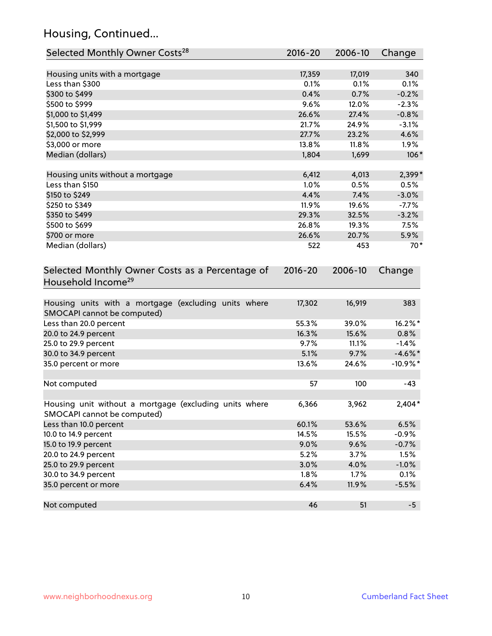# Housing, Continued...

| Selected Monthly Owner Costs <sup>28</sup>                                            | 2016-20     | 2006-10 | Change     |
|---------------------------------------------------------------------------------------|-------------|---------|------------|
| Housing units with a mortgage                                                         | 17,359      | 17,019  | 340        |
| Less than \$300                                                                       | 0.1%        | 0.1%    | 0.1%       |
| \$300 to \$499                                                                        | 0.4%        | 0.7%    | $-0.2%$    |
| \$500 to \$999                                                                        | 9.6%        | 12.0%   | $-2.3%$    |
| \$1,000 to \$1,499                                                                    | 26.6%       | 27.4%   | $-0.8%$    |
| \$1,500 to \$1,999                                                                    | 21.7%       | 24.9%   | $-3.1%$    |
| \$2,000 to \$2,999                                                                    | 27.7%       | 23.2%   | 4.6%       |
| \$3,000 or more                                                                       | 13.8%       | 11.8%   | 1.9%       |
| Median (dollars)                                                                      | 1,804       | 1,699   | $106*$     |
| Housing units without a mortgage                                                      | 6,412       | 4,013   | 2,399*     |
| Less than \$150                                                                       | 1.0%        | 0.5%    | 0.5%       |
| \$150 to \$249                                                                        | 4.4%        | 7.4%    | $-3.0%$    |
| \$250 to \$349                                                                        | 11.9%       | 19.6%   | $-7.7%$    |
| \$350 to \$499                                                                        | 29.3%       | 32.5%   | $-3.2%$    |
| \$500 to \$699                                                                        | 26.8%       | 19.3%   | 7.5%       |
| \$700 or more                                                                         | 26.6%       | 20.7%   | 5.9%       |
| Median (dollars)                                                                      | 522         | 453     | $70*$      |
| Selected Monthly Owner Costs as a Percentage of<br>Household Income <sup>29</sup>     | $2016 - 20$ | 2006-10 | Change     |
| Housing units with a mortgage (excluding units where<br>SMOCAPI cannot be computed)   | 17,302      | 16,919  | 383        |
| Less than 20.0 percent                                                                | 55.3%       | 39.0%   | 16.2%*     |
| 20.0 to 24.9 percent                                                                  | 16.3%       | 15.6%   | 0.8%       |
| 25.0 to 29.9 percent                                                                  | 9.7%        | 11.1%   | $-1.4%$    |
| 30.0 to 34.9 percent                                                                  | 5.1%        | 9.7%    | $-4.6\%$ * |
| 35.0 percent or more                                                                  | 13.6%       | 24.6%   | $-10.9%$ * |
| Not computed                                                                          | 57          | 100     | $-43$      |
| Housing unit without a mortgage (excluding units where<br>SMOCAPI cannot be computed) | 6,366       | 3,962   | $2,404*$   |
| Less than 10.0 percent                                                                | 60.1%       | 53.6%   | 6.5%       |
| 10.0 to 14.9 percent                                                                  | 14.5%       | 15.5%   | $-0.9%$    |
| 15.0 to 19.9 percent                                                                  | 9.0%        | 9.6%    | $-0.7%$    |
| 20.0 to 24.9 percent                                                                  | 5.2%        | 3.7%    | 1.5%       |
| 25.0 to 29.9 percent                                                                  | 3.0%        | 4.0%    | $-1.0%$    |
| 30.0 to 34.9 percent                                                                  | 1.8%        | 1.7%    | 0.1%       |
| 35.0 percent or more                                                                  | 6.4%        | 11.9%   | $-5.5%$    |
| Not computed                                                                          | 46          | 51      | $-5$       |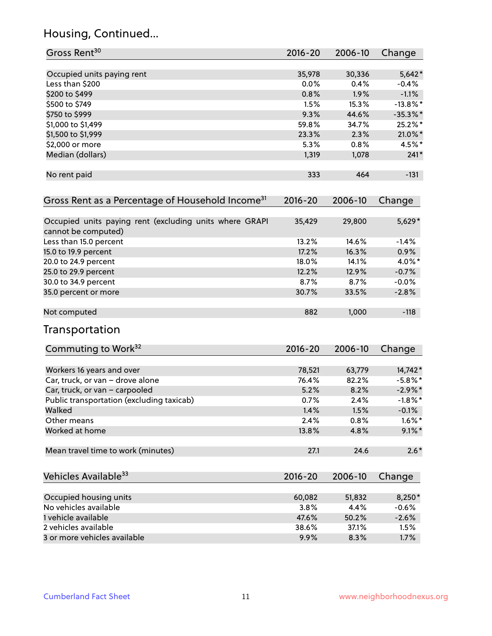# Housing, Continued...

| Gross Rent <sup>30</sup>                                                       | 2016-20     | 2006-10 | Change      |
|--------------------------------------------------------------------------------|-------------|---------|-------------|
|                                                                                |             |         |             |
| Occupied units paying rent                                                     | 35,978      | 30,336  | $5,642*$    |
| Less than \$200                                                                | 0.0%        | 0.4%    | $-0.4%$     |
| \$200 to \$499                                                                 | 0.8%        | 1.9%    | $-1.1%$     |
| \$500 to \$749                                                                 | 1.5%        | 15.3%   | $-13.8\%$ * |
| \$750 to \$999                                                                 | 9.3%        | 44.6%   | $-35.3%$ *  |
| \$1,000 to \$1,499                                                             | 59.8%       | 34.7%   | 25.2%*      |
| \$1,500 to \$1,999                                                             | 23.3%       | 2.3%    | 21.0%*      |
| \$2,000 or more                                                                | 5.3%        | 0.8%    | 4.5%*       |
| Median (dollars)                                                               | 1,319       | 1,078   | $241*$      |
| No rent paid                                                                   | 333         | 464     | $-131$      |
| Gross Rent as a Percentage of Household Income <sup>31</sup>                   | $2016 - 20$ | 2006-10 | Change      |
| Occupied units paying rent (excluding units where GRAPI<br>cannot be computed) | 35,429      | 29,800  | 5,629*      |
| Less than 15.0 percent                                                         | 13.2%       | 14.6%   | $-1.4%$     |
| 15.0 to 19.9 percent                                                           | 17.2%       | 16.3%   | 0.9%        |
| 20.0 to 24.9 percent                                                           | 18.0%       | 14.1%   | 4.0%*       |
| 25.0 to 29.9 percent                                                           | 12.2%       | 12.9%   | $-0.7%$     |
| 30.0 to 34.9 percent                                                           | 8.7%        | 8.7%    | $-0.0%$     |
| 35.0 percent or more                                                           | 30.7%       | 33.5%   | $-2.8%$     |
|                                                                                |             |         |             |
| Not computed                                                                   | 882         | 1,000   | $-118$      |
| Transportation                                                                 |             |         |             |
| Commuting to Work <sup>32</sup>                                                | 2016-20     | 2006-10 | Change      |
| Workers 16 years and over                                                      | 78,521      | 63,779  | 14,742*     |
| Car, truck, or van - drove alone                                               | 76.4%       | 82.2%   | $-5.8\%$ *  |
| Car, truck, or van - carpooled                                                 | 5.2%        | 8.2%    | $-2.9\%$ *  |
| Public transportation (excluding taxicab)                                      | 0.7%        | 2.4%    | $-1.8\%$ *  |
| Walked                                                                         | 1.4%        | 1.5%    | $-0.1%$     |
| Other means                                                                    | 2.4%        | 0.8%    | $1.6\%$ *   |
| Worked at home                                                                 | 13.8%       | 4.8%    | $9.1\%$ *   |
| Mean travel time to work (minutes)                                             | 27.1        | 24.6    | $2.6*$      |
| Vehicles Available <sup>33</sup>                                               | 2016-20     | 2006-10 | Change      |
| Occupied housing units                                                         | 60,082      | 51,832  | 8,250*      |
| No vehicles available                                                          | 3.8%        | 4.4%    | $-0.6%$     |
| 1 vehicle available                                                            | 47.6%       | 50.2%   | $-2.6%$     |
| 2 vehicles available                                                           | 38.6%       | 37.1%   | 1.5%        |
| 3 or more vehicles available                                                   | 9.9%        | 8.3%    | 1.7%        |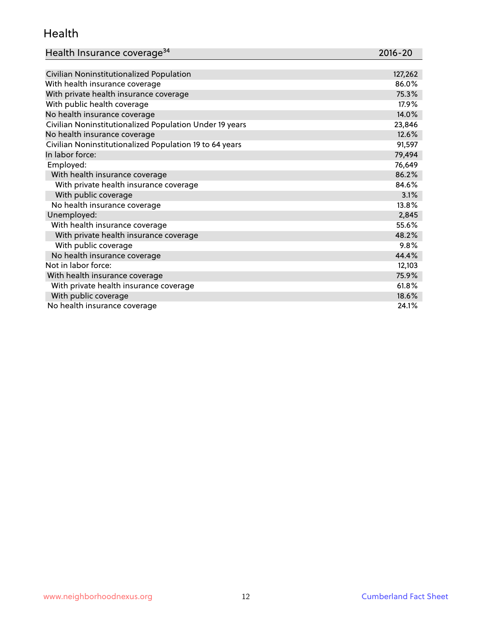#### Health

| Health Insurance coverage <sup>34</sup> | 2016-20 |
|-----------------------------------------|---------|
|-----------------------------------------|---------|

| Civilian Noninstitutionalized Population                | 127,262 |
|---------------------------------------------------------|---------|
| With health insurance coverage                          | 86.0%   |
| With private health insurance coverage                  | 75.3%   |
| With public health coverage                             | 17.9%   |
| No health insurance coverage                            | 14.0%   |
| Civilian Noninstitutionalized Population Under 19 years | 23,846  |
| No health insurance coverage                            | 12.6%   |
| Civilian Noninstitutionalized Population 19 to 64 years | 91,597  |
| In labor force:                                         | 79,494  |
| Employed:                                               | 76,649  |
| With health insurance coverage                          | 86.2%   |
| With private health insurance coverage                  | 84.6%   |
| With public coverage                                    | 3.1%    |
| No health insurance coverage                            | 13.8%   |
| Unemployed:                                             | 2,845   |
| With health insurance coverage                          | 55.6%   |
| With private health insurance coverage                  | 48.2%   |
| With public coverage                                    | 9.8%    |
| No health insurance coverage                            | 44.4%   |
| Not in labor force:                                     | 12,103  |
| With health insurance coverage                          | 75.9%   |
| With private health insurance coverage                  | 61.8%   |
| With public coverage                                    | 18.6%   |
| No health insurance coverage                            | 24.1%   |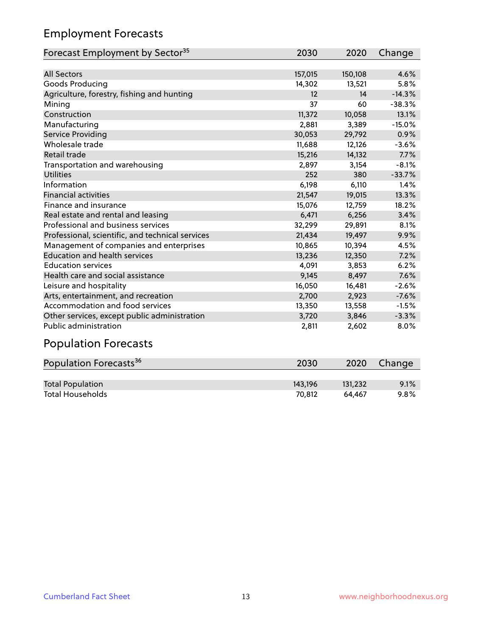# Employment Forecasts

| Forecast Employment by Sector <sup>35</sup>      | 2030    | 2020    | Change   |
|--------------------------------------------------|---------|---------|----------|
|                                                  |         |         |          |
| <b>All Sectors</b>                               | 157,015 | 150,108 | 4.6%     |
| Goods Producing                                  | 14,302  | 13,521  | 5.8%     |
| Agriculture, forestry, fishing and hunting       | 12      | 14      | $-14.3%$ |
| Mining                                           | 37      | 60      | $-38.3%$ |
| Construction                                     | 11,372  | 10,058  | 13.1%    |
| Manufacturing                                    | 2,881   | 3,389   | $-15.0%$ |
| <b>Service Providing</b>                         | 30,053  | 29,792  | 0.9%     |
| Wholesale trade                                  | 11,688  | 12,126  | $-3.6%$  |
| Retail trade                                     | 15,216  | 14,132  | 7.7%     |
| Transportation and warehousing                   | 2,897   | 3,154   | $-8.1%$  |
| <b>Utilities</b>                                 | 252     | 380     | $-33.7%$ |
| Information                                      | 6,198   | 6,110   | 1.4%     |
| <b>Financial activities</b>                      | 21,547  | 19,015  | 13.3%    |
| Finance and insurance                            | 15,076  | 12,759  | 18.2%    |
| Real estate and rental and leasing               | 6,471   | 6,256   | 3.4%     |
| Professional and business services               | 32,299  | 29,891  | 8.1%     |
| Professional, scientific, and technical services | 21,434  | 19,497  | 9.9%     |
| Management of companies and enterprises          | 10,865  | 10,394  | 4.5%     |
| <b>Education and health services</b>             | 13,236  | 12,350  | 7.2%     |
| <b>Education services</b>                        | 4,091   | 3,853   | 6.2%     |
| Health care and social assistance                | 9,145   | 8,497   | 7.6%     |
| Leisure and hospitality                          | 16,050  | 16,481  | $-2.6%$  |
| Arts, entertainment, and recreation              | 2,700   | 2,923   | $-7.6%$  |
| Accommodation and food services                  | 13,350  | 13,558  | $-1.5%$  |
| Other services, except public administration     | 3,720   | 3,846   | $-3.3%$  |
| <b>Public administration</b>                     | 2,811   | 2,602   | 8.0%     |

# Population Forecasts

| Population Forecasts <sup>36</sup> | 2030    | 2020    | Change |
|------------------------------------|---------|---------|--------|
|                                    |         |         |        |
| <b>Total Population</b>            | 143.196 | 131.232 | 9.1%   |
| <b>Total Households</b>            | 70.812  | 64.467  | 9.8%   |